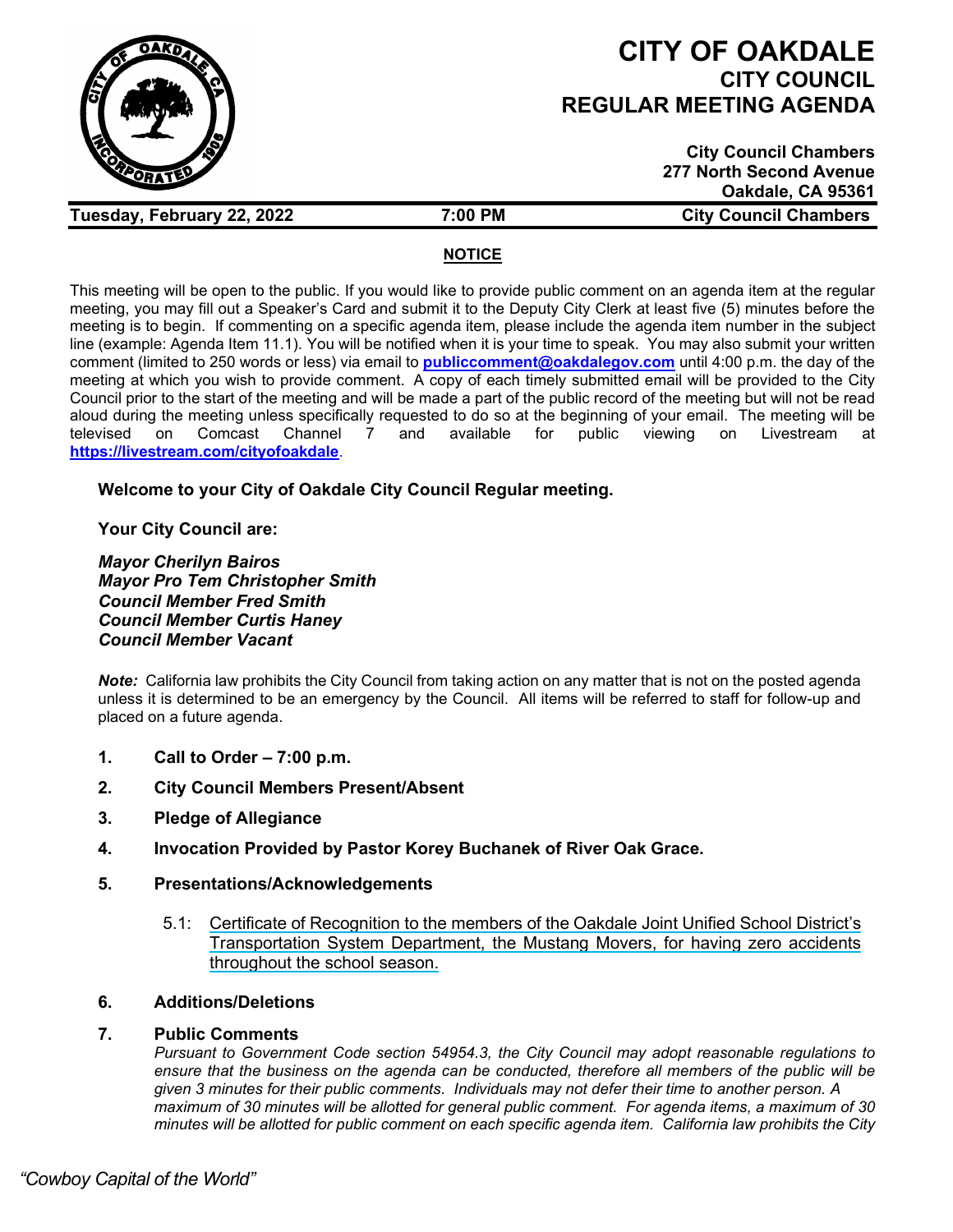

# **CITY OF OAKDALE CITY COUNCIL REGULAR MEETING AGENDA**

| <b>City Council Chambers</b>   |
|--------------------------------|
| <b>277 North Second Avenue</b> |
| Oakdale, CA 95361              |
| <b>City Council Chambers</b>   |

# **NOTICE**

This meeting will be open to the public. If you would like to provide public comment on an agenda item at the regular meeting, you may fill out a Speaker's Card and submit it to the Deputy City Clerk at least five (5) minutes before the meeting is to begin. If commenting on a specific agenda item, please include the agenda item number in the subject line (example: Agenda Item 11.1). You will be notified when it is your time to speak. You may also submit your written comment (limited to 250 words or less) via email to **[publiccomment@oakdalegov.com](mailto:publiccomment@oakdalegov.com)** until 4:00 p.m. the day of the meeting at which you wish to provide comment. A copy of each timely submitted email will be provided to the City Council prior to the start of the meeting and will be made a part of the public record of the meeting but will not be read aloud during the meeting unless specifically requested to do so at the beginning of your email. The meeting will be<br>televised on Comcast Channel 7 and available for public viewing on Livestream at televised on Comcast Channel 7 and available for public viewing on Livestream at **<https://livestream.com/cityofoakdale>**.

# **Welcome to your City of Oakdale City Council Regular meeting.**

**Your City Council are:**

*Mayor Cherilyn Bairos Mayor Pro Tem Christopher Smith Council Member Fred Smith Council Member Curtis Haney Council Member Vacant*

*Note:* California law prohibits the City Council from taking action on any matter that is not on the posted agenda unless it is determined to be an emergency by the Council. All items will be referred to staff for follow-up and placed on a future agenda.

- **1. Call to Order – 7:00 p.m.**
- **2. City Council Members Present/Absent**

**Tuesday, February 22, 2022 7:00 PM** 

- **3. Pledge of Allegiance**
- **4. Invocation Provided by Pastor Korey Buchanek of River Oak Grace.**
- **5. Presentations/Acknowledgements**
	- 5.1: Certificate of Recognition to the members of the Oakdale Joint Unified School District's Transportation System Department, the Mustang Movers, for having zero accidents throughout the school season.

# **6. Additions/Deletions**

# **7. Public Comments**

*Pursuant to Government Code section 54954.3, the City Council may adopt reasonable regulations to ensure that the business on the agenda can be conducted, therefore all members of the public will be given 3 minutes for their public comments. Individuals may not defer their time to another person. A maximum of 30 minutes will be allotted for general public comment. For agenda items, a maximum of 30 minutes will be allotted for public comment on each specific agenda item. California law prohibits the City*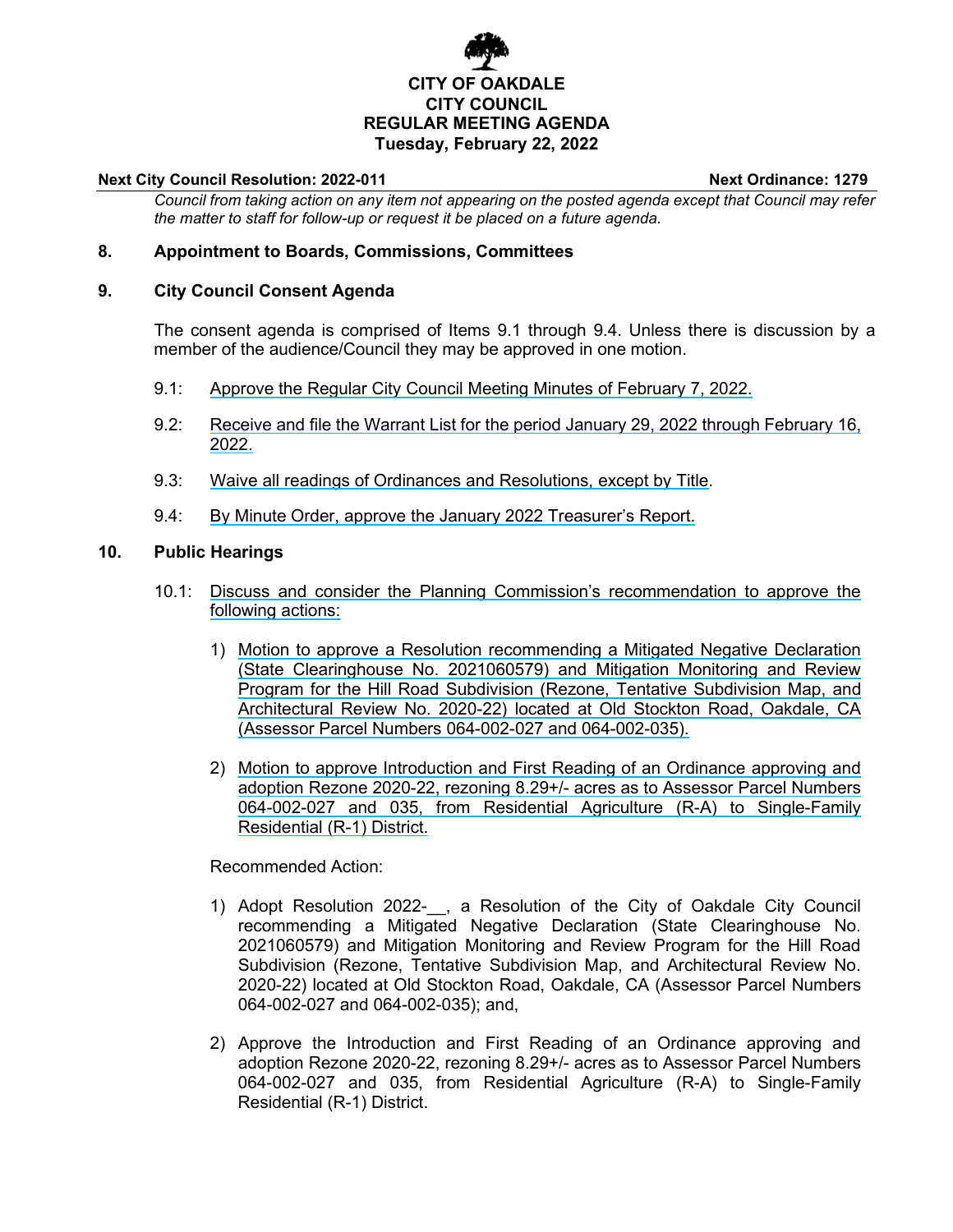# **CITY OF OAKDALE CITY COUNCIL REGULAR MEETING AGENDA Tuesday, February 22, 2022**

#### **Next City Council Resolution: 2022-011 Next Ordinance: 1279**

*Council from taking action on any item not appearing on the posted agenda except that Council may refer the matter to staff for follow-up or request it be placed on a future agenda.*

# **8. Appointment to Boards, Commissions, Committees**

## **9. City Council Consent Agenda**

The consent agenda is comprised of Items 9.1 through 9.4. Unless there is discussion by a member of the audience/Council they may be approved in one motion.

- 9.1: Approve the Regular City Council Meeting Minutes of February 7, 2022.
- 9.2: Receive and file the Warrant List for the period January 29, 2022 through February 16, 2022.
- 9.3: Waive all readings of Ordinances and Resolutions, except by Title.
- 9.4: By Minute Order, approve the January 2022 Treasurer's Report.

## **10. Public Hearings**

- 10.1: Discuss and consider the Planning Commission's recommendation to approve the following actions:
	- 1) Motion to approve a Resolution recommending a Mitigated Negative Declaration (State Clearinghouse No. 2021060579) and Mitigation Monitoring and Review Program for the Hill Road Subdivision (Rezone, Tentative Subdivision Map, and Architectural Review No. 2020-22) located at Old Stockton Road, Oakdale, CA (Assessor Parcel Numbers 064-002-027 and 064-002-035).
	- 2) Motion to approve Introduction and First Reading of an Ordinance approving and adoption Rezone 2020-22, rezoning 8.29+/- acres as to Assessor Parcel Numbers 064-002-027 and 035, from Residential Agriculture (R-A) to Single-Family Residential (R-1) District.

Recommended Action:

- 1) Adopt Resolution 2022-\_\_, a Resolution of the City of Oakdale City Council recommending a Mitigated Negative Declaration (State Clearinghouse No. 2021060579) and Mitigation Monitoring and Review Program for the Hill Road Subdivision (Rezone, Tentative Subdivision Map, and Architectural Review No. 2020-22) located at Old Stockton Road, Oakdale, CA (Assessor Parcel Numbers 064-002-027 and 064-002-035); and,
- 2) Approve the Introduction and First Reading of an Ordinance approving and adoption Rezone 2020-22, rezoning 8.29+/- acres as to Assessor Parcel Numbers 064-002-027 and 035, from Residential Agriculture (R-A) to Single-Family Residential (R-1) District.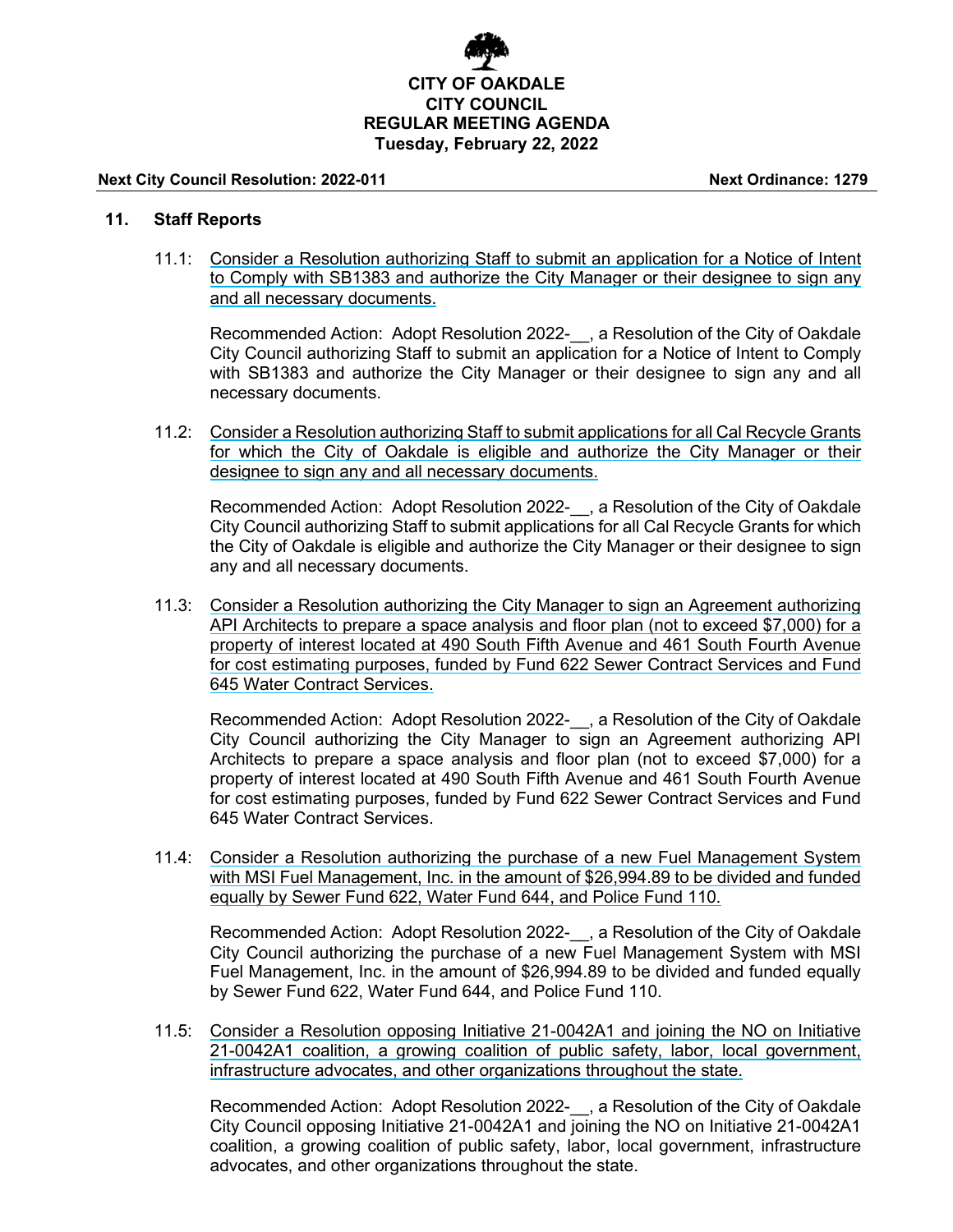

#### **Next City Council Resolution: 2022-011 Next Ordinance: 1279**

### **11. Staff Reports**

11.1: Consider a Resolution authorizing Staff to submit an application for a Notice of Intent to Comply with SB1383 and authorize the City Manager or their designee to sign any and all necessary documents.

Recommended Action: Adopt Resolution 2022- , a Resolution of the City of Oakdale City Council authorizing Staff to submit an application for a Notice of Intent to Comply with SB1383 and authorize the City Manager or their designee to sign any and all necessary documents.

11.2: Consider a Resolution authorizing Staff to submit applications for all Cal Recycle Grants for which the City of Oakdale is eligible and authorize the City Manager or their designee to sign any and all necessary documents.

Recommended Action: Adopt Resolution 2022- , a Resolution of the City of Oakdale City Council authorizing Staff to submit applications for all Cal Recycle Grants for which the City of Oakdale is eligible and authorize the City Manager or their designee to sign any and all necessary documents.

11.3: Consider a Resolution authorizing the City Manager to sign an Agreement authorizing API Architects to prepare a space analysis and floor plan (not to exceed \$7,000) for a property of interest located at 490 South Fifth Avenue and 461 South Fourth Avenue for cost estimating purposes, funded by Fund 622 Sewer Contract Services and Fund 645 Water Contract Services.

Recommended Action: Adopt Resolution 2022- , a Resolution of the City of Oakdale City Council authorizing the City Manager to sign an Agreement authorizing API Architects to prepare a space analysis and floor plan (not to exceed \$7,000) for a property of interest located at 490 South Fifth Avenue and 461 South Fourth Avenue for cost estimating purposes, funded by Fund 622 Sewer Contract Services and Fund 645 Water Contract Services.

11.4: Consider a Resolution authorizing the purchase of a new Fuel Management System with MSI Fuel Management, Inc. in the amount of \$26,994.89 to be divided and funded equally by Sewer Fund 622, Water Fund 644, and Police Fund 110.

Recommended Action: Adopt Resolution 2022- , a Resolution of the City of Oakdale City Council authorizing the purchase of a new Fuel Management System with MSI Fuel Management, Inc. in the amount of \$26,994.89 to be divided and funded equally by Sewer Fund 622, Water Fund 644, and Police Fund 110.

11.5: Consider a Resolution opposing Initiative 21-0042A1 and joining the NO on Initiative 21-0042A1 coalition, a growing coalition of public safety, labor, local government, infrastructure advocates, and other organizations throughout the state.

Recommended Action: Adopt Resolution 2022-\_\_, a Resolution of the City of Oakdale City Council opposing Initiative 21-0042A1 and joining the NO on Initiative 21-0042A1 coalition, a growing coalition of public safety, labor, local government, infrastructure advocates, and other organizations throughout the state.